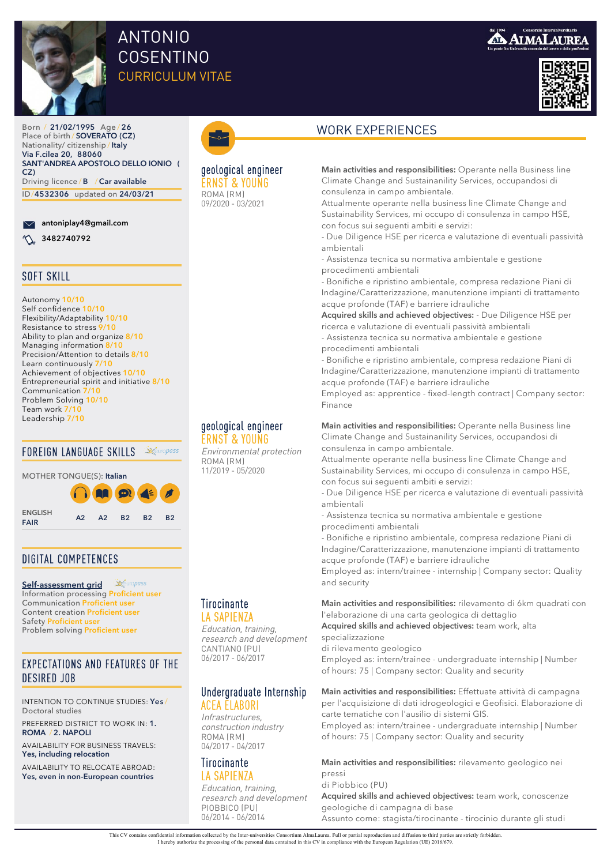

# ANTONIO COSENTINO CURRICULUM VITAE



Born / **21/02/1995** Age / **26** Place of birth / **SOVERATO (CZ)** Nationality/ citizenship /**Italy Via F.cilea 20, 88060 SANT'ANDREA APOSTOLO DELLO IONIO ( CZ)** Driving licence / **B** /**Car available** ID/**4532306** updated on **24/03/21**

### **antoniplay4@gmail.com**

**3482740792** 



Autonomy **10/10** Self confidence **10/10** Flexibility/Adaptability **10/10** Resistance to stress 9/ Ability to plan and organize **8/10** Managing information 8 Precision/Attention to details **8/10** Learn continuously **7/10** Achievement of objectives **10/10** Entrepreneurial spirit and initiative **8/10** Communication **7** Problem Solving **10/10** Team work **7/10** Leadership **7/10**

### FOREIGN LANGUAGE SKILLS

MOTHER TONGUE(S): **Italian**

**ENGLISH**

**FAIR A2 A2 B2 B2 B2**

## DIGITAL COMPETENCES

Reuropass **[Self-assessment grid](https://europass.cedefop.europa.eu/resources/digital-competences)** Information processing **Proficient user** Communication **Proficient user** Content creation **Proficient user** Safety **Proficient user** Problem solving **Proficient user**

### EXPECTATIONS AND FEATURES OF THE DESIRED JOB

INTENTION TO CONTINUE STUDIES: **Yes** / Doctoral studies

PREFERRED DISTRICT TO WORK IN: **1. ROMA** / **2. NAPOLI**

AVAILABILITY FOR BUSINESS TRAVELS: **Yes, including relocation**

AVAILABILITY TO RELOCATE ABROAD: **Yes, even in non-European countries**



### geological engineer ERNST & YOUNG ROMA (RM)

09/2020 ‐ 03/2021

### geological engineer ERNST & YOUNG

Environmental protection ROMA (RM) 11/2019 ‐ 05/2020

### Tirocinante LA SAPIENZA

Education, training, research and development CANTIANO (PU) 06/2017 ‐ 06/2017

### Undergraduate Internship ACEA ELABORI

Infrastructures, construction industry ROMA (RM) 04/2017 ‐ 04/2017

### **Tirocinante** LA SAPIENZA

Education, training, research and development PIOBBICO (PU) 06/2014 ‐ 06/2014

# WORK EXPERIENCES

**Main activities and responsibilities:** Operante nella Business line Climate Change and Sustainanility Services, occupandosi di consulenza in campo ambientale.

Attualmente operante nella business line Climate Change and Sustainability Services, mi occupo di consulenza in campo HSE, con focus sui seguenti ambiti e servizi:

- Due Diligence HSE per ricerca e valutazione di eventuali passività ambientali

- Assistenza tecnica su normativa ambientale e gestione procedimenti ambientali

- Bonifiche e ripristino ambientale, compresa redazione Piani di Indagine/Caratterizzazione, manutenzione impianti di trattamento acque profonde (TAF) e barriere idrauliche

**Acquired skills and achieved objectives:** - Due Diligence HSE per ricerca e valutazione di eventuali passività ambientali

- Assistenza tecnica su normativa ambientale e gestione procedimenti ambientali

- Bonifiche e ripristino ambientale, compresa redazione Piani di Indagine/Caratterizzazione, manutenzione impianti di trattamento acque profonde (TAF) e barriere idrauliche

Employed as: apprentice - fixed-length contract | Company sector: Finance

**Main activities and responsibilities:** Operante nella Business line Climate Change and Sustainanility Services, occupandosi di consulenza in campo ambientale.

Attualmente operante nella business line Climate Change and Sustainability Services, mi occupo di consulenza in campo HSE, con focus sui seguenti ambiti e servizi:

- Due Diligence HSE per ricerca e valutazione di eventuali passività ambientali

- Assistenza tecnica su normativa ambientale e gestione procedimenti ambientali

- Bonifiche e ripristino ambientale, compresa redazione Piani di Indagine/Caratterizzazione, manutenzione impianti di trattamento acque profonde (TAF) e barriere idrauliche

Employed as: intern/trainee - internship | Company sector: Quality and security

**Main activities and responsibilities:** rilevamento di 6km quadrati con l'elaborazione di una carta geologica di dettaglio

**Acquired skills and achieved objectives:** team work, alta specializzazione

di rilevamento geologico Employed as: intern/trainee - undergraduate internship | Number of hours: 75 | Company sector: Quality and security

**Main activities and responsibilities:** Effettuate attività di campagna per l'acquisizione di dati idrogeologici e Geofisici. Elaborazione di carte tematiche con l'ausilio di sistemi GIS.

Employed as: intern/trainee - undergraduate internship | Number of hours: 75 | Company sector: Quality and security

**Main activities and responsibilities:** rilevamento geologico nei pressi

di Piobbico (PU) **Acquired skills and achieved objectives:** team work, conoscenze geologiche di campagna di base Assunto come: stagista/tirocinante - tirocinio durante gli studi

This CV contains confidential information collected by the Inter-universities Consortium AlmaLaurea. Full or partial reproduction and diffusion to third parties are strictly forbidden. I hereby authorize the processing of the personal data contained in this CV in compliance with the European Regulation (UE) 2016/679.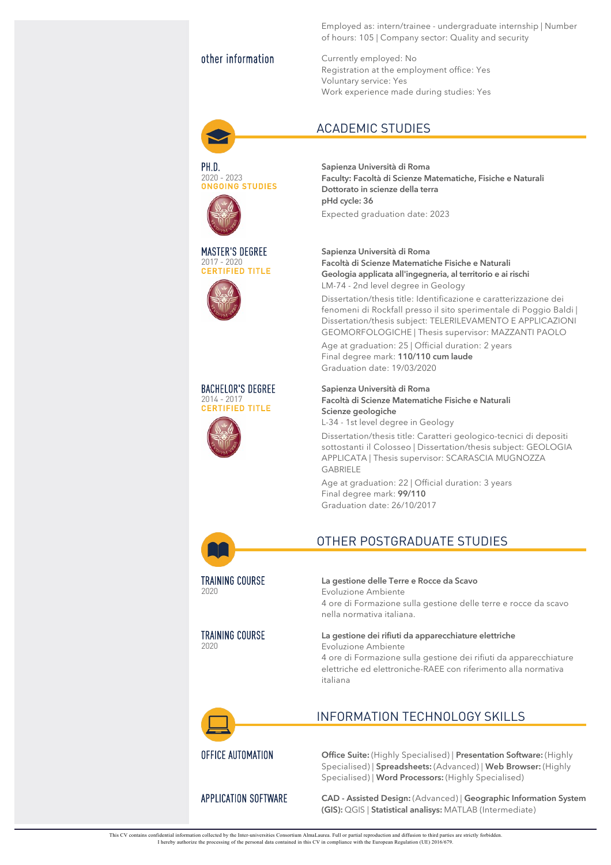PH.D. . . . . . .<br>2020 - 2023 ONGOING STUDIES

MASTER'S DEGREE 2017 ‐ 2020 CERTIFIED TITLE

BACHELOR'S DEGREE 2014 ‐ 2017 CERTIFIED TITLE

Employed as: intern/trainee - undergraduate internship | Number of hours: 105 | Company sector: Quality and security

other information Currently employed: No Registration at the employment office: Yes Voluntary service: Yes Work experience made during studies: Yes

## ACADEMIC STUDIES

**Sapienza Università di Roma Faculty: Facoltà di Scienze Matematiche, Fisiche e Naturali Dottorato in scienze della terra pHd cycle: 36**

Expected graduation date: 2023

**Sapienza Università di Roma Facoltà di Scienze Matematiche Fisiche e Naturali Geologia applicata all'ingegneria, al territorio e ai rischi** LM-74 - 2nd level degree in Geology

Dissertation/thesis title: Identificazione e caratterizzazione dei fenomeni di Rockfall presso il sito sperimentale di Poggio Baldi | Dissertation/thesis subject: TELERILEVAMENTO E APPLICAZIONI GEOMORFOLOGICHE | Thesis supervisor: MAZZANTI PAOLO

Age at graduation: 25 | Official duration: 2 years Final degree mark: **110/110 cum laude** Graduation date: 19/03/2020

**Sapienza Università di Roma Facoltà di Scienze Matematiche Fisiche e Naturali Scienze geologiche** L-34 - 1st level degree in Geology

Dissertation/thesis title: Caratteri geologico-tecnici di depositi sottostanti il Colosseo | Dissertation/thesis subject: GEOLOGIA APPLICATA | Thesis supervisor: SCARASCIA MUGNOZZA GABRIELE

Age at graduation: 22 | Official duration: 3 years Final degree mark: **99/110** Graduation date: 26/10/2017



TRAINING COURSE 2020

TRAINING COURSE 2020

# OTHER POSTGRADUATE STUDIES

**La gestione delle Terre e Rocce da Scavo** Evoluzione Ambiente 4 ore di Formazione sulla gestione delle terre e rocce da scavo nella normativa italiana.

**La gestione dei rifiuti da apparecchiature elettriche** Evoluzione Ambiente 4 ore di Formazione sulla gestione dei rifiuti da apparecchiature

elettriche ed elettroniche-RAEE con riferimento alla normativa italiana



# INFORMATION TECHNOLOGY SKILLS

OFFICE AUTOMATION **Office Suite:** (Highly Specialised) | **Presentation Software:** (Highly Specialised) | **Spreadsheets:** (Advanced) | **Web Browser:** (Highly Specialised) | **Word Processors:** (Highly Specialised)

APPLICATION SOFTWARE **CAD - Assisted Design:** (Advanced) | **Geographic Information System (GIS):** QGIS | **Statistical analisys:** MATLAB (Intermediate)

This CV contains confidential information collected by the Inter-universities Consortium AlmaLaurea. Full or partial reproduction and diffusion to third parties are strictly forbidden. I hereby authorize the processing of the personal data contained in this CV in compliance